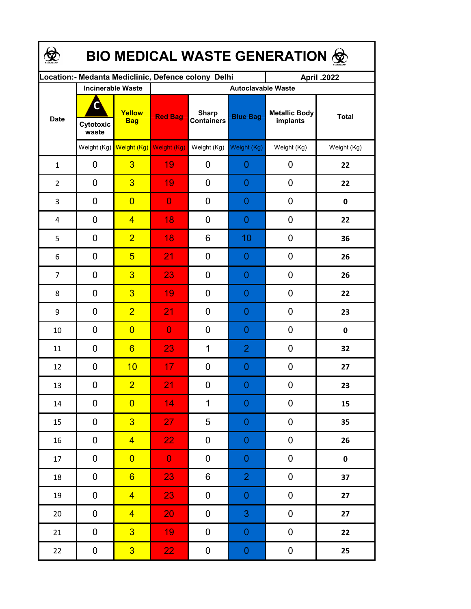| <b>BIO MEDICAL WASTE GENERATION ©</b> |                         |                                     |                                                     |                                   |                  |                                  |              |  |  |  |
|---------------------------------------|-------------------------|-------------------------------------|-----------------------------------------------------|-----------------------------------|------------------|----------------------------------|--------------|--|--|--|
|                                       |                         |                                     | Location:- Medanta Mediclinic, Defence colony Delhi |                                   |                  | April .2022                      |              |  |  |  |
| <b>Date</b>                           |                         | <b>Incinerable Waste</b>            | <b>Autoclavable Waste</b>                           |                                   |                  |                                  |              |  |  |  |
|                                       | C<br>Cytotoxic<br>waste | Yellow<br><b>Bag</b>                | <b>Red Bag</b>                                      | <b>Sharp</b><br><b>Containers</b> | <b>Blue Bag</b>  | <b>Metallic Body</b><br>implants | <b>Total</b> |  |  |  |
|                                       |                         | Weight (Kg) Weight (Kg) Weight (Kg) |                                                     | Weight (Kg)                       | Weight (Kg)      | Weight (Kg)                      | Weight (Kg)  |  |  |  |
| $\mathbf{1}$                          | 0                       | $\overline{3}$                      | 19                                                  | 0                                 | 0                | 0                                | 22           |  |  |  |
| $\overline{2}$                        | 0                       | $\overline{3}$                      | 19                                                  | 0                                 | 0                | 0                                | 22           |  |  |  |
| 3                                     | 0                       | $\overline{0}$                      | $\overline{0}$                                      | 0                                 | 0                | 0                                | $\mathbf 0$  |  |  |  |
| 4                                     | 0                       | $\overline{4}$                      | 18                                                  | 0                                 | 0                | $\mathbf 0$                      | 22           |  |  |  |
| 5                                     | 0                       | $\overline{2}$                      | 18                                                  | 6                                 | 10               | $\mathbf 0$                      | 36           |  |  |  |
| 6                                     | 0                       | $5\overline{)}$                     | 21                                                  | 0                                 | 0                | 0                                | 26           |  |  |  |
| $\overline{7}$                        | 0                       | $\overline{3}$                      | 23                                                  | 0                                 | 0                | 0                                | 26           |  |  |  |
| 8                                     | 0                       | $\overline{3}$                      | 19                                                  | 0                                 | 0                | 0                                | 22           |  |  |  |
| 9                                     | 0                       | $\overline{2}$                      | 21                                                  | 0                                 | 0                | 0                                | 23           |  |  |  |
| 10                                    | 0                       | $\overline{0}$                      | $\overline{0}$                                      | 0                                 | 0                | 0                                | 0            |  |  |  |
| 11                                    | 0                       | $6\overline{6}$                     | 23                                                  | $\mathbf 1$                       | $\overline{2}$   | 0                                | 32           |  |  |  |
| 12                                    | 0                       | 10                                  | 17                                                  | 0                                 | 0                | $\mathbf 0$                      | 27           |  |  |  |
| 13                                    | 0                       | $\overline{2}$                      | 21                                                  | 0                                 | $\overline{0}$   | $\boldsymbol{0}$                 | 23           |  |  |  |
| $14\,$                                | 0                       | $\overline{0}$                      | 14                                                  | $\mathbf{1}$                      | $\boldsymbol{0}$ | 0                                | 15           |  |  |  |
| 15                                    | 0                       | 3                                   | 27                                                  | 5                                 | $\boldsymbol{0}$ | 0                                | 35           |  |  |  |
| 16                                    | 0                       | $\overline{4}$                      | 22 <sub>1</sub>                                     | 0                                 | $\boldsymbol{0}$ | $\boldsymbol{0}$                 | 26           |  |  |  |
| 17                                    | $\mathbf 0$             | $\overline{0}$                      | $\overline{0}$                                      | 0                                 | $\boldsymbol{0}$ | $\pmb{0}$                        | $\pmb{0}$    |  |  |  |
| 18                                    | 0                       | $6 \overline{}$                     | 23                                                  | 6                                 | $\overline{2}$   | $\pmb{0}$                        | 37           |  |  |  |
| 19                                    | 0                       | $\overline{4}$                      | 23                                                  | 0                                 | $\boldsymbol{0}$ | $\pmb{0}$                        | 27           |  |  |  |
| 20                                    | 0                       | $\overline{4}$                      | 20                                                  | 0                                 | $\mathbf{3}$     | $\pmb{0}$                        | 27           |  |  |  |
| 21                                    | 0                       | $\overline{3}$                      | 19                                                  | 0                                 | $\boldsymbol{0}$ | $\pmb{0}$                        | 22           |  |  |  |
| 22                                    | $\mathbf 0$             | 3 <sup>1</sup>                      | 22 <sub>1</sub>                                     | 0                                 | $\boldsymbol{0}$ | $\pmb{0}$                        | 25           |  |  |  |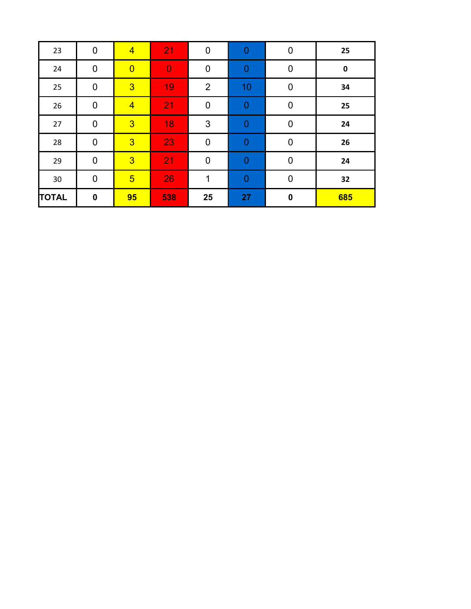| 23           | $\mathbf 0$ | $\overline{4}$  | 21             | $\mathbf 0$      | $\mathbf 0$      | $\mathbf 0$ | 25        |
|--------------|-------------|-----------------|----------------|------------------|------------------|-------------|-----------|
| 24           | $\pmb{0}$   | $\overline{0}$  | $\overline{0}$ | $\pmb{0}$        | $\mathbf 0$      | $\mathbf 0$ | $\pmb{0}$ |
| 25           | $\mathbf 0$ | $\overline{3}$  | 19             | $\overline{2}$   | 10               | $\mathbf 0$ | 34        |
| 26           | $\pmb{0}$   | $\overline{4}$  | 21             | $\boldsymbol{0}$ | $\boldsymbol{0}$ | $\mathbf 0$ | 25        |
| 27           | $\pmb{0}$   | $\overline{3}$  | 18             | 3                | $\mathbf 0$      | $\mathbf 0$ | 24        |
| 28           | $\mathbf 0$ | $\overline{3}$  | 23             | $\mathbf 0$      | $\mathbf 0$      | $\mathbf 0$ | 26        |
| 29           | $\mathbf 0$ | $\overline{3}$  | 21             | $\mathbf 0$      | $\mathbf{0}$     | $\mathbf 0$ | 24        |
| 30           | $\mathbf 0$ | $5\overline{)}$ | 26             | 1                | $\theta$         | $\mathbf 0$ | 32        |
| <b>TOTAL</b> | $\pmb{0}$   | 95              | 538            | 25               | 27               | $\pmb{0}$   | 685       |